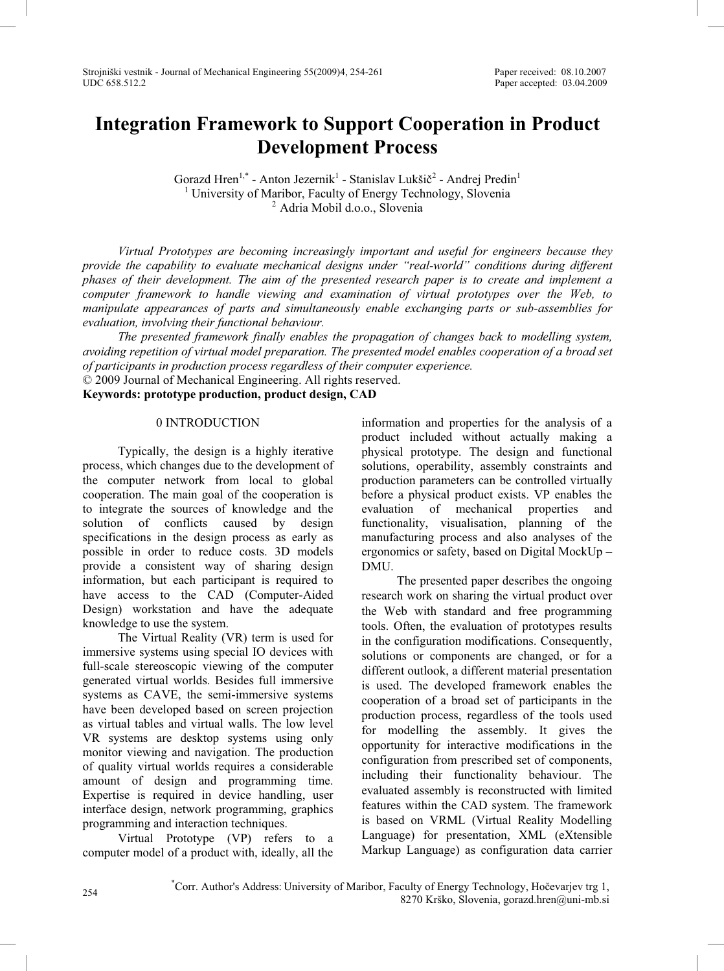# **Integration Framework to Support Cooperation in Product Development Process**

Gorazd Hren<sup>1,\*</sup> - Anton Jezernik<sup>1</sup> - Stanislav Lukšič<sup>2</sup> - Andrej Predin<sup>1</sup> <sup>1</sup> University of Maribor, Faculty of Energy Technology, Slovenia<br><sup>2</sup> Adria Mobil d.o.o., Slovenia

*Virtual Prototypes are becoming increasingly important and useful for engineers because they provide the capability to evaluate mechanical designs under "real-world" conditions during different phases of their development. The aim of the presented research paper is to create and implement a computer framework to handle viewing and examination of virtual prototypes over the Web, to manipulate appearances of parts and simultaneously enable exchanging parts or sub-assemblies for evaluation, involving their functional behaviour.* 

*The presented framework finally enables the propagation of changes back to modelling system, avoiding repetition of virtual model preparation. The presented model enables cooperation of a broad set of participants in production process regardless of their computer experience.* 

© 2009 Journal of Mechanical Engineering. All rights reserved.

**Keywords: prototype production, product design, CAD**

#### 0 INTRODUCTION

Typically, the design is a highly iterative process, which changes due to the development of the computer network from local to global cooperation. The main goal of the cooperation is to integrate the sources of knowledge and the solution of conflicts caused by design specifications in the design process as early as possible in order to reduce costs. 3D models provide a consistent way of sharing design information, but each participant is required to have access to the CAD (Computer-Aided Design) workstation and have the adequate knowledge to use the system.

The Virtual Reality (VR) term is used for immersive systems using special IO devices with full-scale stereoscopic viewing of the computer generated virtual worlds. Besides full immersive systems as CAVE, the semi-immersive systems have been developed based on screen projection as virtual tables and virtual walls. The low level VR systems are desktop systems using only monitor viewing and navigation. The production of quality virtual worlds requires a considerable amount of design and programming time. Expertise is required in device handling, user interface design, network programming, graphics programming and interaction techniques.

Virtual Prototype (VP) refers to a computer model of a product with, ideally, all the

information and properties for the analysis of a product included without actually making a physical prototype. The design and functional solutions, operability, assembly constraints and production parameters can be controlled virtually before a physical product exists. VP enables the evaluation of mechanical properties and functionality, visualisation, planning of the manufacturing process and also analyses of the ergonomics or safety, based on Digital MockUp – DMU.

The presented paper describes the ongoing research work on sharing the virtual product over the Web with standard and free programming tools. Often, the evaluation of prototypes results in the configuration modifications. Consequently, solutions or components are changed, or for a different outlook, a different material presentation is used. The developed framework enables the cooperation of a broad set of participants in the production process, regardless of the tools used for modelling the assembly. It gives the opportunity for interactive modifications in the configuration from prescribed set of components, including their functionality behaviour. The evaluated assembly is reconstructed with limited features within the CAD system. The framework is based on VRML (Virtual Reality Modelling Language) for presentation, XML (eXtensible Markup Language) as configuration data carrier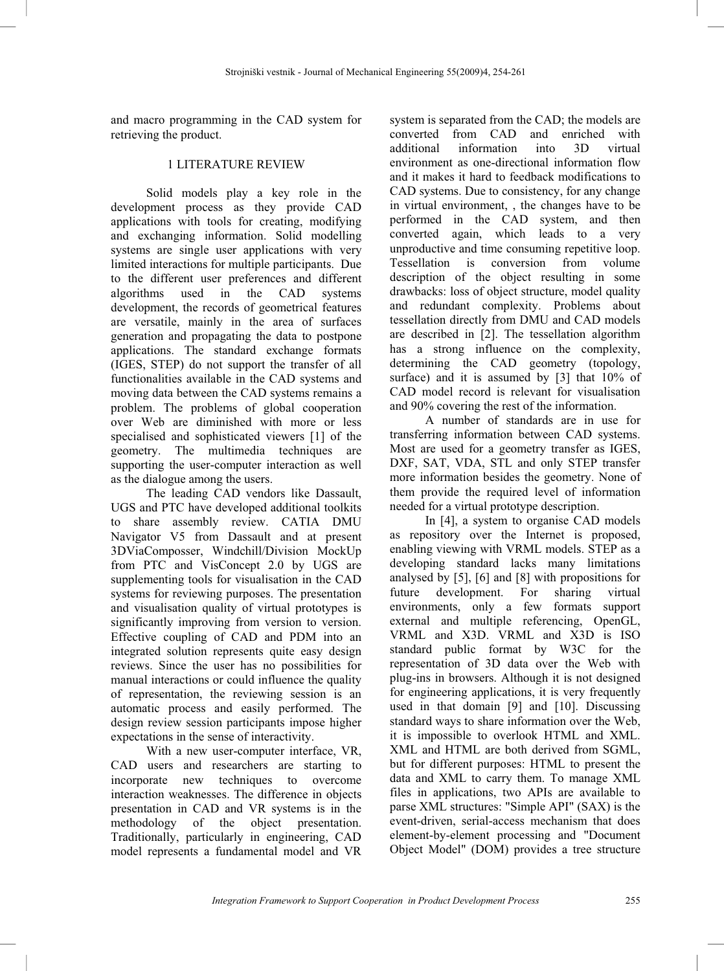and macro programming in the CAD system for retrieving the product.

## 1 LITERATURE REVIEW

Solid models play a key role in the development process as they provide CAD applications with tools for creating, modifying and exchanging information. Solid modelling systems are single user applications with very limited interactions for multiple participants. Due to the different user preferences and different algorithms used in the CAD systems development, the records of geometrical features are versatile, mainly in the area of surfaces generation and propagating the data to postpone applications. The standard exchange formats (IGES, STEP) do not support the transfer of all functionalities available in the CAD systems and moving data between the CAD systems remains a problem. The problems of global cooperation over Web are diminished with more or less specialised and sophisticated viewers [1] of the geometry. The multimedia techniques are supporting the user-computer interaction as well as the dialogue among the users.

The leading CAD vendors like Dassault, UGS and PTC have developed additional toolkits to share assembly review. CATIA DMU Navigator V5 from Dassault and at present 3DViaComposser, Windchill/Division MockUp from PTC and VisConcept 2.0 by UGS are supplementing tools for visualisation in the CAD systems for reviewing purposes. The presentation and visualisation quality of virtual prototypes is significantly improving from version to version. Effective coupling of CAD and PDM into an integrated solution represents quite easy design reviews. Since the user has no possibilities for manual interactions or could influence the quality of representation, the reviewing session is an automatic process and easily performed. The design review session participants impose higher expectations in the sense of interactivity.

With a new user-computer interface, VR, CAD users and researchers are starting to incorporate new techniques to overcome interaction weaknesses. The difference in objects presentation in CAD and VR systems is in the methodology of the object presentation. Traditionally, particularly in engineering, CAD model represents a fundamental model and VR

system is separated from the CAD; the models are converted from CAD and enriched with<br>additional information into 3D virtual additional information into 3D environment as one-directional information flow and it makes it hard to feedback modifications to CAD systems. Due to consistency, for any change in virtual environment, , the changes have to be performed in the CAD system, and then converted again, which leads to a very unproductive and time consuming repetitive loop. Tessellation is conversion from volume description of the object resulting in some drawbacks: loss of object structure, model quality and redundant complexity. Problems about tessellation directly from DMU and CAD models are described in [2]. The tessellation algorithm has a strong influence on the complexity, determining the CAD geometry (topology, surface) and it is assumed by [3] that  $10\%$  of CAD model record is relevant for visualisation and 90% covering the rest of the information.

A number of standards are in use for transferring information between CAD systems. Most are used for a geometry transfer as IGES, DXF, SAT, VDA, STL and only STEP transfer more information besides the geometry. None of them provide the required level of information needed for a virtual prototype description.

In [4], a system to organise CAD models as repository over the Internet is proposed, enabling viewing with VRML models. STEP as a developing standard lacks many limitations analysed by [5], [6] and [8] with propositions for future development. For sharing virtual environments, only a few formats support external and multiple referencing, OpenGL, VRML and X3D. VRML and X3D is ISO standard public format by W3C for the representation of 3D data over the Web with plug-ins in browsers. Although it is not designed for engineering applications, it is very frequently used in that domain [9] and [10]. Discussing standard ways to share information over the Web, it is impossible to overlook HTML and XML. XML and HTML are both derived from SGML, but for different purposes: HTML to present the data and XML to carry them. To manage XML files in applications, two APIs are available to parse XML structures: "Simple API" (SAX) is the event-driven, serial-access mechanism that does element-by-element processing and "Document Object Model" (DOM) provides a tree structure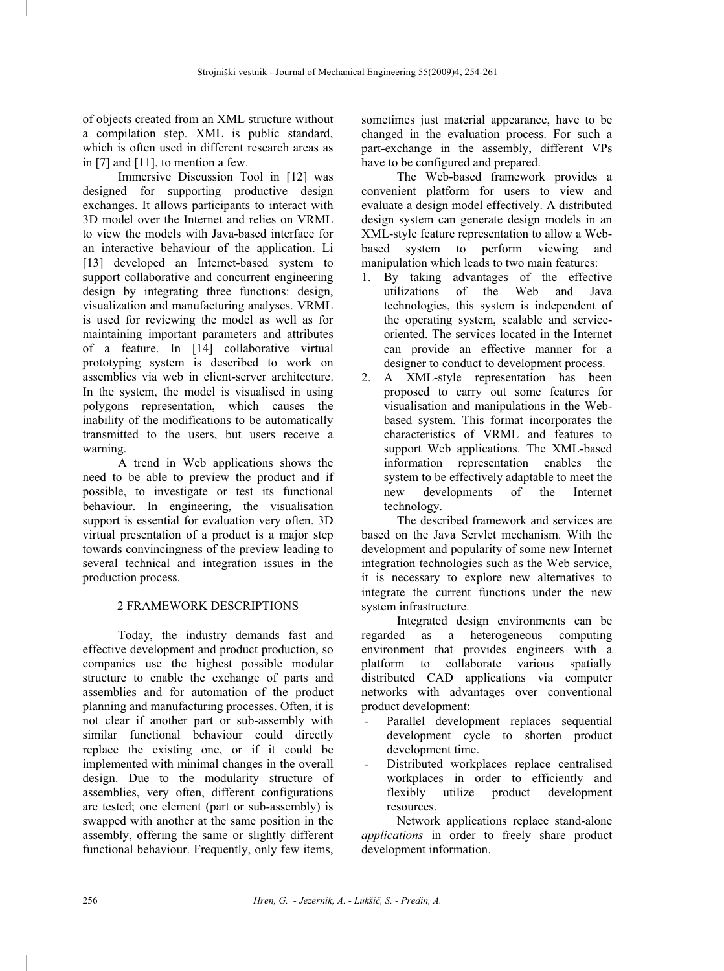of objects created from an XML structure without a compilation step. XML is public standard, which is often used in different research areas as in [7] and [11], to mention a few.

Immersive Discussion Tool in [12] was designed for supporting productive design exchanges. It allows participants to interact with 3D model over the Internet and relies on VRML to view the models with Java-based interface for an interactive behaviour of the application. Li [13] developed an Internet-based system to support collaborative and concurrent engineering design by integrating three functions: design, visualization and manufacturing analyses. VRML is used for reviewing the model as well as for maintaining important parameters and attributes of a feature. In [14] collaborative virtual prototyping system is described to work on assemblies via web in client-server architecture. In the system, the model is visualised in using polygons representation, which causes the inability of the modifications to be automatically transmitted to the users, but users receive a warning.

A trend in Web applications shows the need to be able to preview the product and if possible, to investigate or test its functional behaviour. In engineering, the visualisation support is essential for evaluation very often. 3D virtual presentation of a product is a major step towards convincingness of the preview leading to several technical and integration issues in the production process.

# 2 FRAMEWORK DESCRIPTIONS

Today, the industry demands fast and effective development and product production, so companies use the highest possible modular structure to enable the exchange of parts and assemblies and for automation of the product planning and manufacturing processes. Often, it is not clear if another part or sub-assembly with similar functional behaviour could directly replace the existing one, or if it could be implemented with minimal changes in the overall design. Due to the modularity structure of assemblies, very often, different configurations are tested; one element (part or sub-assembly) is swapped with another at the same position in the assembly, offering the same or slightly different functional behaviour. Frequently, only few items,

sometimes just material appearance, have to be changed in the evaluation process. For such a part-exchange in the assembly, different VPs have to be configured and prepared.

The Web-based framework provides a convenient platform for users to view and evaluate a design model effectively. A distributed design system can generate design models in an XML-style feature representation to allow a Webbased system to perform viewing and manipulation which leads to two main features:

- 1. By taking advantages of the effective utilizations of the Web and Java technologies, this system is independent of the operating system, scalable and serviceoriented. The services located in the Internet can provide an effective manner for a designer to conduct to development process.
- 2. A XML-style representation has been proposed to carry out some features for visualisation and manipulations in the Webbased system. This format incorporates the characteristics of VRML and features to support Web applications. The XML-based information representation enables the system to be effectively adaptable to meet the<br>new developments of the Internet new developments of the Internet technology.

The described framework and services are based on the Java Servlet mechanism. With the development and popularity of some new Internet integration technologies such as the Web service, it is necessary to explore new alternatives to integrate the current functions under the new system infrastructure.

Integrated design environments can be regarded as a heterogeneous computing environment that provides engineers with a platform to collaborate various spatially distributed CAD applications via computer networks with advantages over conventional product development:

- Parallel development replaces sequential development cycle to shorten product development time.
- Distributed workplaces replace centralised workplaces in order to efficiently and flexibly utilize product development resources.

Network applications replace stand-alone *applications* in order to freely share product development information.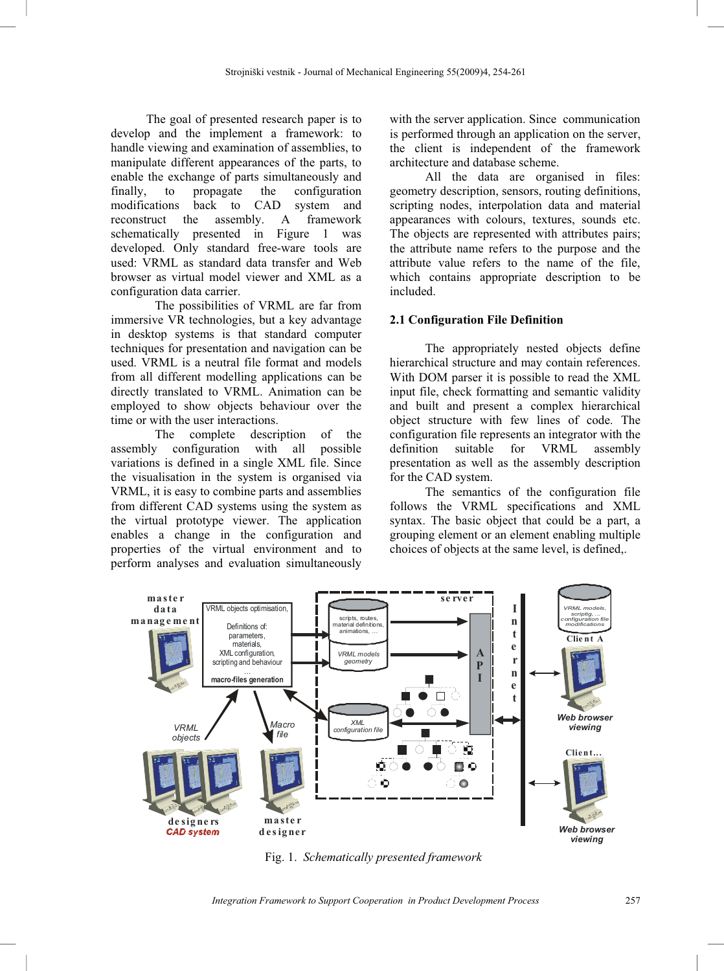The goal of presented research paper is to develop and the implement a framework: to handle viewing and examination of assemblies, to manipulate different appearances of the parts, to enable the exchange of parts simultaneously and<br>finally, to propagate the configuration finally, to propagate the configuration<br>modifications back to CAD system and back to CAD system and reconstruct the assembly. A framework schematically presented in Figure 1 was developed. Only standard free-ware tools are used: VRML as standard data transfer and Web browser as virtual model viewer and XML as a configuration data carrier.

The possibilities of VRML are far from immersive VR technologies, but a key advantage in desktop systems is that standard computer techniques for presentation and navigation can be used. VRML is a neutral file format and models from all different modelling applications can be directly translated to VRML. Animation can be employed to show objects behaviour over the time or with the user interactions.

The complete description of the assembly configuration with all possible variations is defined in a single XML file. Since the visualisation in the system is organised via VRML, it is easy to combine parts and assemblies from different CAD systems using the system as the virtual prototype viewer. The application enables a change in the configuration and properties of the virtual environment and to perform analyses and evaluation simultaneously

with the server application. Since communication is performed through an application on the server, the client is independent of the framework architecture and database scheme.

All the data are organised in files: geometry description, sensors, routing definitions, scripting nodes, interpolation data and material appearances with colours, textures, sounds etc. The objects are represented with attributes pairs; the attribute name refers to the purpose and the attribute value refers to the name of the file, which contains appropriate description to be included.

# **2.1 Configuration File Definition**

The appropriately nested objects define hierarchical structure and may contain references. With DOM parser it is possible to read the XML input file, check formatting and semantic validity and built and present a complex hierarchical object structure with few lines of code. The configuration file represents an integrator with the definition suitable for VRML assembly presentation as well as the assembly description for the CAD system.

The semantics of the configuration file follows the VRML specifications and XML syntax. The basic object that could be a part, a grouping element or an element enabling multiple choices of objects at the same level, is defined,.



Fig. 1. *Schematically presented framework*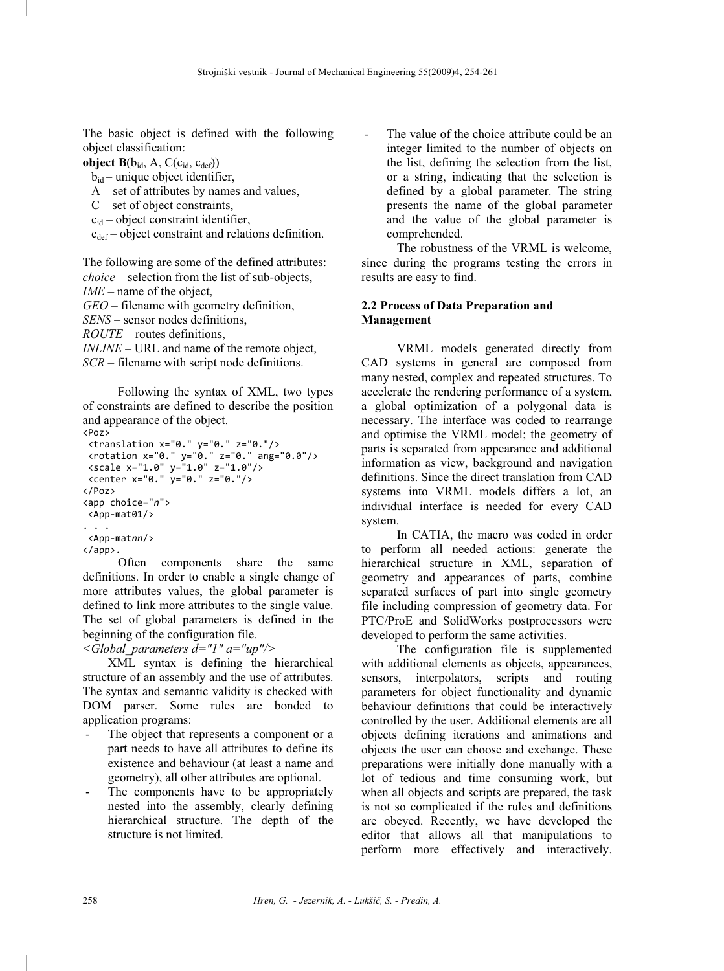The basic object is defined with the following object classification:

**object**  $B(b_{id}, A, C(c_{id}, c_{def}))$ 

 $b_{id}$  – unique object identifier,

A – set of attributes by names and values,

 $C$  – set of object constraints,

 $c_{id}$  – object constraint identifier.

 $c_{def}$  – object constraint and relations definition.

The following are some of the defined attributes: *choice* – selection from the list of sub-objects, *IME* – name of the object,

*GEO* – filename with geometry definition,

*SENS* – sensor nodes definitions,

*ROUTE* – routes definitions,

*INLINE* – URL and name of the remote object, *SCR* – filename with script node definitions.

Following the syntax of XML, two types of constraints are defined to describe the position and appearance of the object.

```
<Poz><br><translation x="0." y="0." z="0."/>
  \langlerotation x="0." y="0." z="0." ang="0.0"/>
  \frac{x}{2} \frac{x}{2} \frac{y}{2} \frac{y}{2} \frac{y}{2} \frac{y}{2} \frac{y}{2} \frac{z}{2} \frac{z}{2} \frac{z}{2} \frac{z}{2} \frac{z}{2} \frac{z}{2} \frac{z}{2} \frac{z}{2} \frac{z}{2} \frac{z}{2} \frac{z}{2} \frac{z}{2} \frac{z}{2} \frac{z}{2} \frac{z}{2} \fracx^2 + 8x - 9." y="0." z="0."/><br>/Poz>
</app choice="n"><br><App choice="n">
  \langleApp-mat01/>
. . .<br><App-matnn/><br></ann>
</app>.
```
Often components share the same definitions. In order to enable a single change of more attributes values, the global parameter is defined to link more attributes to the single value. The set of global parameters is defined in the beginning of the configuration file.

*<Global\_parameters d="1" a="up"/>* 

XML syntax is defining the hierarchical structure of an assembly and the use of attributes. The syntax and semantic validity is checked with DOM parser. Some rules are bonded to application programs:

- The object that represents a component or a part needs to have all attributes to define its existence and behaviour (at least a name and geometry), all other attributes are optional.
- The components have to be appropriately nested into the assembly, clearly defining hierarchical structure. The depth of the structure is not limited.

The value of the choice attribute could be an integer limited to the number of objects on the list, defining the selection from the list, or a string, indicating that the selection is defined by a global parameter. The string presents the name of the global parameter and the value of the global parameter is comprehended.

The robustness of the VRML is welcome, since during the programs testing the errors in results are easy to find.

## **2.2 Process of Data Preparation and Management**

VRML models generated directly from CAD systems in general are composed from many nested, complex and repeated structures. To accelerate the rendering performance of a system, a global optimization of a polygonal data is necessary. The interface was coded to rearrange and optimise the VRML model; the geometry of parts is separated from appearance and additional information as view, background and navigation definitions. Since the direct translation from CAD systems into VRML models differs a lot, an individual interface is needed for every CAD system.

In CATIA, the macro was coded in order to perform all needed actions: generate the hierarchical structure in XML, separation of geometry and appearances of parts, combine separated surfaces of part into single geometry file including compression of geometry data. For PTC/ProE and SolidWorks postprocessors were developed to perform the same activities.

The configuration file is supplemented with additional elements as objects, appearances, sensors, interpolators, scripts and routing parameters for object functionality and dynamic behaviour definitions that could be interactively controlled by the user. Additional elements are all objects defining iterations and animations and objects the user can choose and exchange. These preparations were initially done manually with a lot of tedious and time consuming work, but when all objects and scripts are prepared, the task is not so complicated if the rules and definitions are obeyed. Recently, we have developed the editor that allows all that manipulations to perform more effectively and interactively.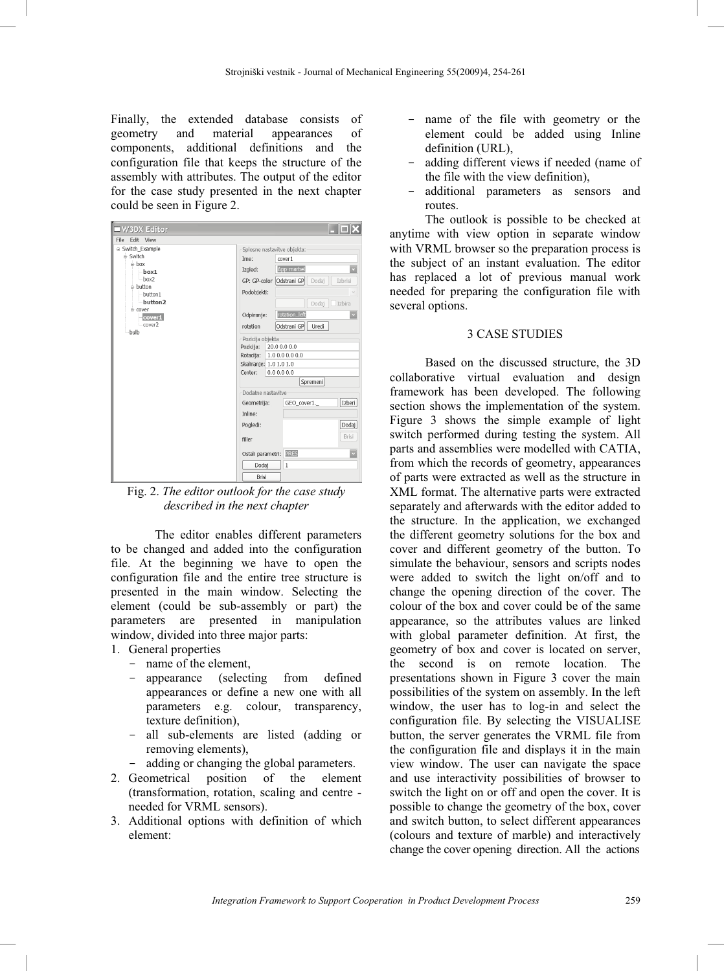Finally, the extended database consists of geometry and material appearances of components, additional definitions and the configuration file that keeps the structure of the assembly with attributes. The output of the editor for the case study presented in the next chapter could be seen in Figure 2.

| W3DX Editor                                                                                                                                                   |                                                                                                                                                                                                        |
|---------------------------------------------------------------------------------------------------------------------------------------------------------------|--------------------------------------------------------------------------------------------------------------------------------------------------------------------------------------------------------|
| File Edit View<br>s Switch Example<br>- Switch<br>i box<br>box1<br>box2<br>e-button<br>button1<br>-button2<br>e cover<br>cover1<br>cover <sub>2</sub><br>bulb | Splosne nastavitve objekta:<br>cover1<br>Ime:<br>App-marbel<br>Izgled:<br>GP: GP-color Odstrani GP<br>Izbrisi<br>Dodaj<br>Podobjekti:<br>Dodaj<br>Izbira<br>rotation left<br>Odpiranje:                |
|                                                                                                                                                               | Odstrani GP<br>Uredi<br>rotation<br>Pozicija objekta<br>Pozicija:<br>20.00.00.0<br>Rotacija:<br>1.0 0.0 0.0 0.0<br>Skaliranje: 1.0 1.0 1.0<br>Center:<br>0.0 0.0 0.0<br>Spremeni<br>Dodatne nastavitve |
|                                                                                                                                                               | Izberi<br>GEO cover1.<br>Geometrija:<br>Inline:<br>Dodaj<br>Pogledi:<br>Brisi<br>filler<br>Ostali parametri: RES<br>Dodaj<br>$\mathbf{1}$<br>Brisi                                                     |

Fig. 2. *The editor outlook for the case study described in the next chapter* 

The editor enables different parameters to be changed and added into the configuration file. At the beginning we have to open the configuration file and the entire tree structure is presented in the main window. Selecting the element (could be sub-assembly or part) the parameters are presented in manipulation window, divided into three major parts:

- 1. General properties
	- name of the element,
	- appearance (selecting from defined appearances or define a new one with all parameters e.g. colour, transparency, texture definition),
	- all sub-elements are listed (adding or removing elements),
	- adding or changing the global parameters.
- 2. Geometrical position of the element (transformation, rotation, scaling and centre needed for VRML sensors).
- 3. Additional options with definition of which element:
- name of the file with geometry or the element could be added using Inline definition (URL),
- adding different views if needed (name of the file with the view definition),
- additional parameters as sensors and routes.

The outlook is possible to be checked at anytime with view option in separate window with VRML browser so the preparation process is the subject of an instant evaluation. The editor has replaced a lot of previous manual work needed for preparing the configuration file with several options.

## 3 CASE STUDIES

Based on the discussed structure, the 3D collaborative virtual evaluation and design framework has been developed. The following section shows the implementation of the system. Figure 3 shows the simple example of light switch performed during testing the system. All parts and assemblies were modelled with CATIA, from which the records of geometry, appearances of parts were extracted as well as the structure in XML format. The alternative parts were extracted separately and afterwards with the editor added to the structure. In the application, we exchanged the different geometry solutions for the box and cover and different geometry of the button. To simulate the behaviour, sensors and scripts nodes were added to switch the light on/off and to change the opening direction of the cover. The colour of the box and cover could be of the same appearance, so the attributes values are linked with global parameter definition. At first, the geometry of box and cover is located on server, the second is on remote location. The presentations shown in Figure 3 cover the main possibilities of the system on assembly. In the left window, the user has to log-in and select the configuration file. By selecting the VISUALISE button, the server generates the VRML file from the configuration file and displays it in the main view window. The user can navigate the space and use interactivity possibilities of browser to switch the light on or off and open the cover. It is possible to change the geometry of the box, cover and switch button, to select different appearances (colours and texture of marble) and interactively change the cover opening direction. All the actions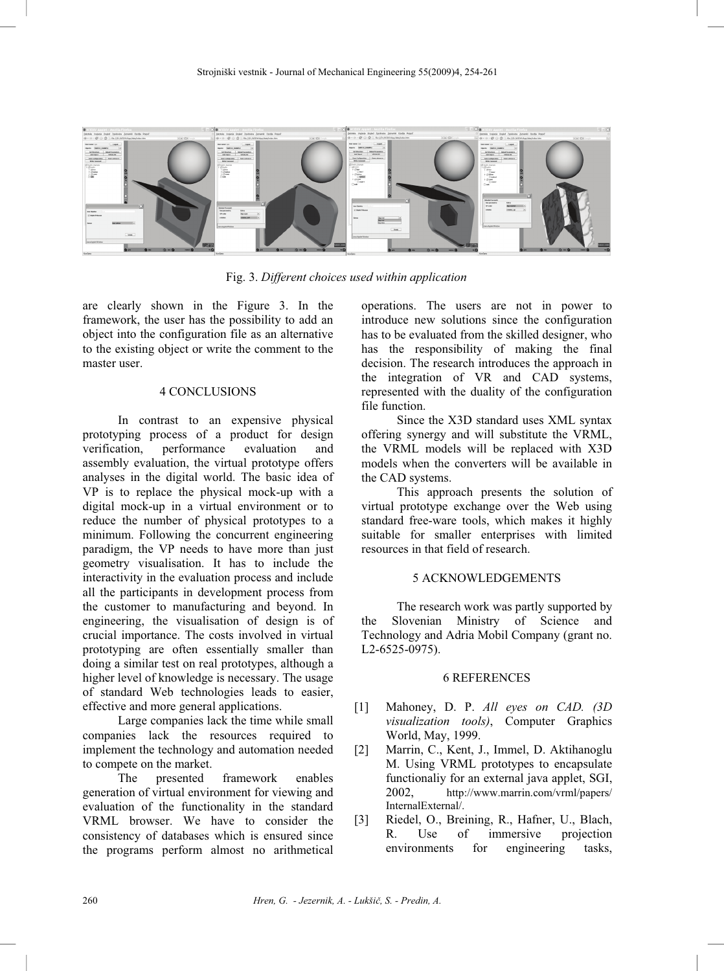

Fig. 3. *Different choices used within application*

are clearly shown in the Figure 3. In the framework, the user has the possibility to add an object into the configuration file as an alternative to the existing object or write the comment to the master user.

## 4 CONCLUSIONS

In contrast to an expensive physical prototyping process of a product for design verification, performance evaluation and assembly evaluation, the virtual prototype offers analyses in the digital world. The basic idea of VP is to replace the physical mock-up with a digital mock-up in a virtual environment or to reduce the number of physical prototypes to a minimum. Following the concurrent engineering paradigm, the VP needs to have more than just geometry visualisation. It has to include the interactivity in the evaluation process and include all the participants in development process from the customer to manufacturing and beyond. In engineering, the visualisation of design is of crucial importance. The costs involved in virtual prototyping are often essentially smaller than doing a similar test on real prototypes, although a higher level of knowledge is necessary. The usage of standard Web technologies leads to easier, effective and more general applications.

Large companies lack the time while small companies lack the resources required to implement the technology and automation needed to compete on the market.<br>The presented

The presented framework enables generation of virtual environment for viewing and evaluation of the functionality in the standard VRML browser. We have to consider the consistency of databases which is ensured since the programs perform almost no arithmetical

operations. The users are not in power to introduce new solutions since the configuration has to be evaluated from the skilled designer, who has the responsibility of making the final decision. The research introduces the approach in the integration of VR and CAD systems, represented with the duality of the configuration file function.

Since the X3D standard uses XML syntax offering synergy and will substitute the VRML, the VRML models will be replaced with X3D models when the converters will be available in the CAD systems.

This approach presents the solution of virtual prototype exchange over the Web using standard free-ware tools, which makes it highly suitable for smaller enterprises with limited resources in that field of research.

# 5 ACKNOWLEDGEMENTS

The research work was partly supported by the Slovenian Ministry of Science and Technology and Adria Mobil Company (grant no. L2-6525-0975).

#### 6 REFERENCES

- [1] Mahoney, D. P. *All eyes on CAD. (3D visualization tools)*, Computer Graphics World, May, 1999.
- [2] Marrin, C., Kent, J., Immel, D. Aktihanoglu M. Using VRML prototypes to encapsulate functionaliy for an external java applet, SGI, 2002, http://www.marrin.com/vrml/papers/ InternalExternal/.
- [3] Riedel, O., Breining, R., Hafner, U., Blach, R. Use of immersive projection environments for engineering tasks,